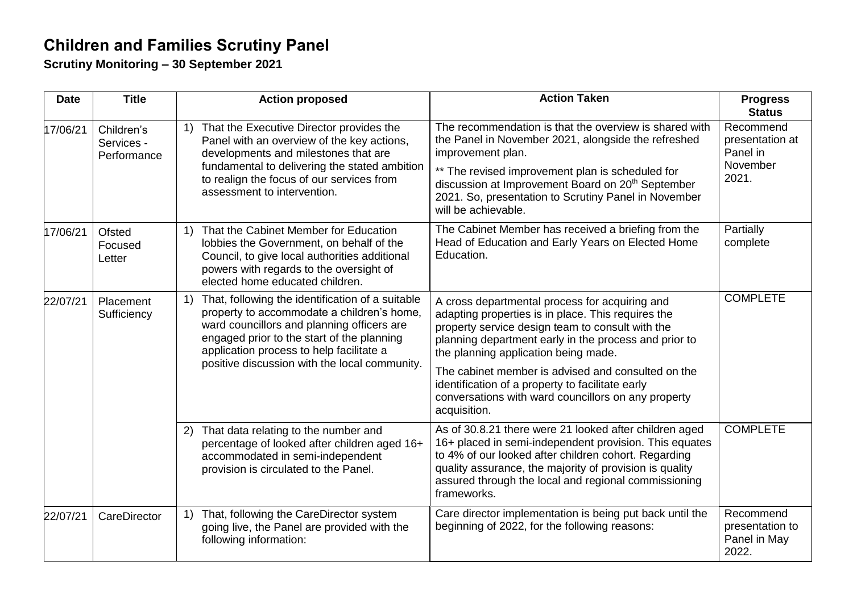## **Children and Families Scrutiny Panel**

**Scrutiny Monitoring – 30 September 2021**

| <b>Date</b> | <b>Title</b>                            | <b>Action proposed</b>                                                                                                                                                                                                                                                                                                                    | <b>Action Taken</b>                                                                                                                                                                                                                                                                                                                                                                                                                        | <b>Progress</b><br><b>Status</b>                              |
|-------------|-----------------------------------------|-------------------------------------------------------------------------------------------------------------------------------------------------------------------------------------------------------------------------------------------------------------------------------------------------------------------------------------------|--------------------------------------------------------------------------------------------------------------------------------------------------------------------------------------------------------------------------------------------------------------------------------------------------------------------------------------------------------------------------------------------------------------------------------------------|---------------------------------------------------------------|
| 17/06/21    | Children's<br>Services -<br>Performance | That the Executive Director provides the<br>1)<br>Panel with an overview of the key actions,<br>developments and milestones that are<br>fundamental to delivering the stated ambition<br>to realign the focus of our services from<br>assessment to intervention.                                                                         | The recommendation is that the overview is shared with<br>the Panel in November 2021, alongside the refreshed<br>improvement plan.<br>** The revised improvement plan is scheduled for<br>discussion at Improvement Board on 20 <sup>th</sup> September<br>2021. So, presentation to Scrutiny Panel in November<br>will be achievable.                                                                                                     | Recommend<br>presentation at<br>Panel in<br>November<br>2021. |
| 17/06/21    | Ofsted<br>Focused<br>Letter             | That the Cabinet Member for Education<br>1)<br>lobbies the Government, on behalf of the<br>Council, to give local authorities additional<br>powers with regards to the oversight of<br>elected home educated children.                                                                                                                    | The Cabinet Member has received a briefing from the<br>Head of Education and Early Years on Elected Home<br>Education.                                                                                                                                                                                                                                                                                                                     | Partially<br>complete                                         |
| 22/07/21    | Placement<br>Sufficiency                | That, following the identification of a suitable<br>$\left( \begin{matrix} 1 \end{matrix} \right)$<br>property to accommodate a children's home,<br>ward councillors and planning officers are<br>engaged prior to the start of the planning<br>application process to help facilitate a<br>positive discussion with the local community. | A cross departmental process for acquiring and<br>adapting properties is in place. This requires the<br>property service design team to consult with the<br>planning department early in the process and prior to<br>the planning application being made.<br>The cabinet member is advised and consulted on the<br>identification of a property to facilitate early<br>conversations with ward councillors on any property<br>acquisition. | <b>COMPLETE</b>                                               |
|             |                                         | That data relating to the number and<br>2)<br>percentage of looked after children aged 16+<br>accommodated in semi-independent<br>provision is circulated to the Panel.                                                                                                                                                                   | As of 30.8.21 there were 21 looked after children aged<br>16+ placed in semi-independent provision. This equates<br>to 4% of our looked after children cohort. Regarding<br>quality assurance, the majority of provision is quality<br>assured through the local and regional commissioning<br>frameworks.                                                                                                                                 | <b>COMPLETE</b>                                               |
| 22/07/21    | CareDirector                            | That, following the CareDirector system<br>$\left( \begin{matrix} 1 \end{matrix} \right)$<br>going live, the Panel are provided with the<br>following information:                                                                                                                                                                        | Care director implementation is being put back until the<br>beginning of 2022, for the following reasons:                                                                                                                                                                                                                                                                                                                                  | Recommend<br>presentation to<br>Panel in May<br>2022.         |